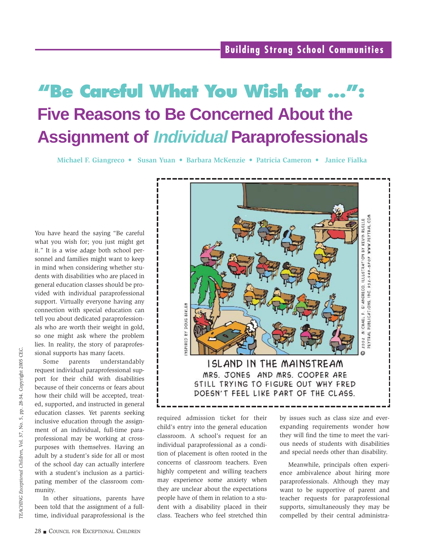# **"Be Careful What You Wish for ...": Five Reasons to Be Concerned About the Assignment of Individual Paraprofessionals**

**Michael F. Giangreco • Susan Yuan • Barbara McKenzie • Patricia Cameron • Janice Fialka**

You have heard the saying "Be careful what you wish for; you just might get it." It is a wise adage both school personnel and families might want to keep in mind when considering whether students with disabilities who are placed in general education classes should be provided with individual paraprofessional support. Virtually everyone having any connection with special education can tell you about dedicated paraprofessionals who are worth their weight in gold, so one might ask where the problem lies. In reality, the story of paraprofessional supports has many facets.

Some parents understandably request individual paraprofessional support for their child with disabilities because of their concerns or fears about how their child will be accepted, treated, supported, and instructed in general education classes. Yet parents seeking inclusive education through the assignment of an individual, full-time paraprofessional may be working at crosspurposes with themselves. Having an adult by a student's side for all or most of the school day can actually interfere with a student's inclusion as a participating member of the classroom community.

In other situations, parents have been told that the assignment of a fulltime, individual paraprofessional is the



required admission ticket for their child's entry into the general education classroom. A school's request for an individual paraprofessional as a condition of placement is often rooted in the concerns of classroom teachers. Even highly competent and willing teachers may experience some anxiety when they are unclear about the expectations people have of them in relation to a student with a disability placed in their class. Teachers who feel stretched thin

by issues such as class size and everexpanding requirements wonder how they will find the time to meet the various needs of students with disabilities and special needs other than disability.

Meanwhile, principals often experience ambivalence about hiring more paraprofessionals. Although they may want to be supportive of parent and teacher requests for paraprofessional supports, simultaneously they may be compelled by their central administra-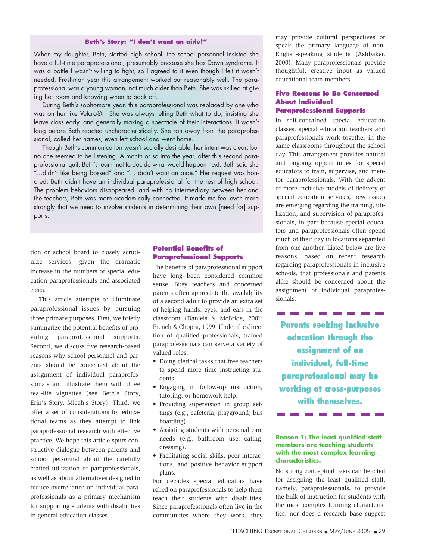#### **Beth's Story: "I don't want an aide!"**

When my daughter, Beth, started high school, the school personnel insisted she have a full-time paraprofessional, presumably because she has Down syndrome. It was a battle I wasn't willing to fight, so I agreed to it even though I felt it wasn't needed. Freshman year this arrangement worked out reasonably well. The paraprofessional was a young woman, not much older than Beth. She was skilled at giving her room and knowing when to back off.

During Beth's sophomore year, this paraprofessional was replaced by one who was on her like Velcro®! She was always telling Beth what to do, insisting she leave class early, and generally making a spectacle of their interactions. It wasn't long before Beth reacted uncharacteristically. She ran away from the paraprofessional, called her names, even left school and went home.

Though Beth's communication wasn't socially desirable, her intent was clear; but no one seemed to be listening. A month or so into the year, after this second paraprofessional quit, Beth's team met to decide what would happen next. Beth said she "...didn't like being bossed" and "... didn't want an aide." Her request was honored; Beth didn't have an individual paraprofessional for the rest of high school. The problem behaviors disappeared, and with no intermediary between her and the teachers, Beth was more academically connected. It made me feel even more strongly that we need to involve students in determining their own [need for] supports.

tion or school board to closely scrutinize services, given the dramatic increase in the numbers of special education paraprofessionals and associated costs.

This article attempts to illuminate paraprofessional issues by pursuing three primary purposes. First, we briefly summarize the potential benefits of providing paraprofessional supports. Second, we discuss five research-based reasons why school personnel and parents should be concerned about the assignment of individual paraprofessionals and illustrate them with three real-life vignettes (see Beth's Story, Erin's Story, Micah's Story). Third, we offer a set of considerations for educational teams as they attempt to link paraprofessional research with effective practice. We hope this article spurs constructive dialogue between parents and school personnel about the carefully crafted utilization of paraprofessionals, as well as about alternatives designed to reduce overreliance on individual paraprofessionals as a primary mechanism for supporting students with disabilities in general education classes.

# **Potential Benefits of Paraprofessional Supports**

The benefits of paraprofessional support have long been considered common sense. Busy teachers and concerned parents often appreciate the availability of a second adult to provide an extra set of helping hands, eyes, and ears in the classroom (Daniels & McBride, 2001; French & Chopra, 1999. Under the direction of qualified professionals, trained paraprofessionals can serve a variety of valued roles:

- Doing clerical tasks that free teachers to spend more time instructing students.
- Engaging in follow-up instruction, tutoring, or homework help.
- Providing supervision in group settings (e.g., cafeteria, playground, bus boarding).
- Assisting students with personal care needs (e.g., bathroom use, eating, dressing).
- Facilitating social skills, peer interactions, and positive behavior support plans.

For decades special educators have relied on paraprofessionals to help them teach their students with disabilities. Since paraprofessionals often live in the communities where they work, they

may provide cultural perspectives or speak the primary language of non-English-speaking students (Ashbaker, 2000). Many paraprofessionals provide thoughtful, creative input as valued educational team members.

# **Five Reasons to Be Concerned About Individual Paraprofessional Supports**

In self-contained special education classes, special education teachers and paraprofessionals work together in the same classrooms throughout the school day. This arrangement provides natural and ongoing opportunities for special educators to train, supervise, and mentor paraprofessionals. With the advent of more inclusive models of delivery of special education services, new issues are emerging regarding the training, utilization, and supervision of paraprofessionals, in part because special educators and paraprofessionals often spend much of their day in locations separated from one another. Listed below are five reasons, based on recent research regarding paraprofessionals in inclusive schools, that professionals and parents alike should be concerned about the assignment of individual paraprofessionals.

**Parents seeking inclusive education through the assignment of an individual, full-time paraprofessional may be working at cross-purposes with themselves.**

### **Reason 1: The least qualified staff members are teaching students with the most complex learning characteristics.**

\_\_\_\_\_\_\_\_

No strong conceptual basis can be cited for assigning the least qualified staff, namely, paraprofessionals, to provide the bulk of instruction for students with the most complex learning characteristics, nor does a research base suggest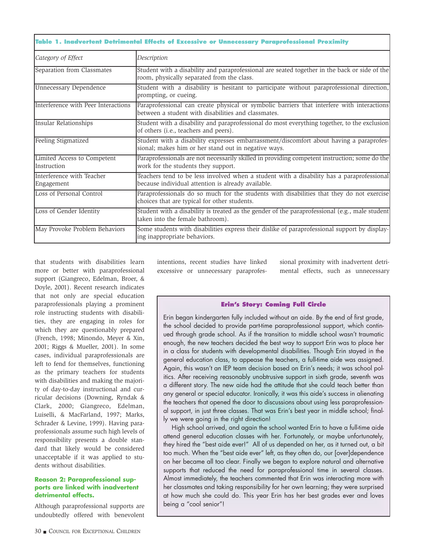| Table 1. Inadvertent Detrimental Effects of Excessive or Unnecessary Paraprofessional Proximity |                                                                                                                                                   |  |
|-------------------------------------------------------------------------------------------------|---------------------------------------------------------------------------------------------------------------------------------------------------|--|
| Category of Effect                                                                              | Description                                                                                                                                       |  |
| Separation from Classmates                                                                      | Student with a disability and paraprofessional are seated together in the back or side of the<br>room, physically separated from the class.       |  |
| Unnecessary Dependence                                                                          | Student with a disability is hesitant to participate without paraprofessional direction,<br>prompting, or cueing.                                 |  |
| Interference with Peer Interactions                                                             | Paraprofessional can create physical or symbolic barriers that interfere with interactions<br>between a student with disabilities and classmates. |  |
| Insular Relationships                                                                           | Student with a disability and paraprofessional do most everything together, to the exclusion<br>of others (i.e., teachers and peers).             |  |
| Feeling Stigmatized                                                                             | Student with a disability expresses embarrassment/discomfort about having a paraprofes-<br>sional; makes him or her stand out in negative ways.   |  |
| Limited Access to Competent<br>Instruction                                                      | Paraprofessionals are not necessarily skilled in providing competent instruction; some do the<br>work for the students they support.              |  |
| Interference with Teacher<br>Engagement                                                         | Teachers tend to be less involved when a student with a disability has a paraprofessional<br>because individual attention is already available.   |  |
| Loss of Personal Control                                                                        | Paraprofessionals do so much for the students with disabilities that they do not exercise<br>choices that are typical for other students.         |  |
| Loss of Gender Identity                                                                         | Student with a disability is treated as the gender of the paraprofessional (e.g., male student)<br>taken into the female bathroom).               |  |
| May Provoke Problem Behaviors                                                                   | Some students with disabilities express their dislike of paraprofessional support by display-<br>ing inappropriate behaviors.                     |  |

that students with disabilities learn more or better with paraprofessional support (Giangreco, Edelman, Broer, & Doyle, 2001). Recent research indicates that not only are special education paraprofessionals playing a prominent role instructing students with disabilities, they are engaging in roles for which they are questionably prepared (French, 1998; Minondo, Meyer & Xin, 2001; Riggs & Mueller, 2001). In some cases, individual paraprofessionals are left to fend for themselves, functioning as the primary teachers for students with disabilities and making the majority of day-to-day instructional and curricular decisions (Downing, Ryndak & Clark, 2000; Giangreco, Edelman, Luiselli, & MacFarland, 1997; Marks, Schrader & Levine, 1999). Having paraprofessionals assume such high levels of responsibility presents a double standard that likely would be considered unacceptable if it was applied to students without disabilities.

#### **Reason 2: Paraprofessional supports are linked with inadvertent detrimental effects.**

Although paraprofessional supports are undoubtedly offered with benevolent intentions, recent studies have linked excessive or unnecessary paraprofessional proximity with inadvertent detrimental effects, such as unnecessary

#### **Erin's Story: Coming Full Circle**

Erin began kindergarten fully included without an aide. By the end of first grade, the school decided to provide part-time paraprofessional support, which continued through grade school. As if the transition to middle school wasn't traumatic enough, the new teachers decided the best way to support Erin was to place her in a class for students with developmental disabilities. Though Erin stayed in the general education class, to appease the teachers, a full-time aide was assigned. Again, this wasn't an IEP team decision based on Erin's needs; it was school politics. After receiving reasonably unobtrusive support in sixth grade, seventh was a different story. The new aide had the attitude that she could teach better than any general or special educator. Ironically, it was this aide's success in alienating the teachers that opened the door to discussions about using less paraprofessional support, in just three classes. That was Erin's best year in middle school; finally we were going in the right direction!

High school arrived, and again the school wanted Erin to have a full-time aide attend general education classes with her. Fortunately, or maybe unfortunately, they hired the "best aide ever!" All of us depended on her, as it turned out, a bit too much. When the "best aide ever" left, as they often do, our [over]dependence on her became all too clear. Finally we began to explore natural and alternative supports that reduced the need for paraprofessional time in several classes. Almost immediately, the teachers commented that Erin was interacting more with her classmates and taking responsibility for her own learning; they were surprised at how much she could do. This year Erin has her best grades ever and loves being a "cool senior"!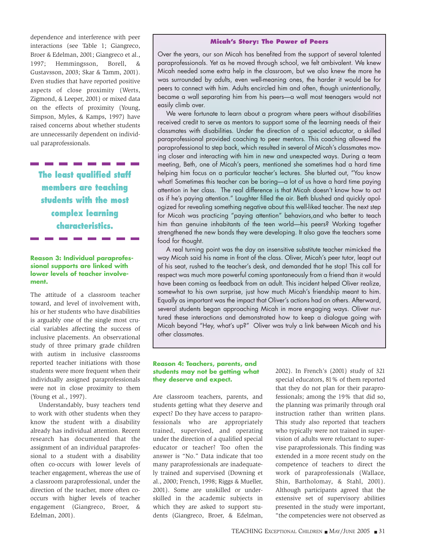dependence and interference with peer interactions (see Table 1; Giangreco, Broer & Edelman, 2001; Giangreco et al., 1997; Hemmingsson, Borell, & Gustavsson, 2003; Skar & Tamm, 2001). Even studies that have reported positive aspects of close proximity (Werts, Zigmond, & Leeper, 2001) or mixed data on the effects of proximity (Young, Simpson, Myles, & Kamps, 1997) have raised concerns about whether students are unnecessarily dependent on individual paraprofessionals.

**The least qualified staff members are teaching**

**students with the most complex learning characteristics.**

# **Reason 3: Individual paraprofessional supports are linked with lower levels of teacher involvement.**

The attitude of a classroom teacher toward, and level of involvement with, his or her students who have disabilities is arguably one of the single most crucial variables affecting the success of inclusive placements. An observational study of three primary grade children with autism in inclusive classrooms reported teacher initiations with those students were more frequent when their individually assigned paraprofessionals were not in close proximity to them (Young et al., 1997).

Understandably, busy teachers tend to work with other students when they know the student with a disability already has individual attention. Recent research has documented that the assignment of an individual paraprofessional to a student with a disability often co-occurs with lower levels of teacher engagement, whereas the use of a classroom paraprofessional, under the direction of the teacher, more often cooccurs with higher levels of teacher engagement (Giangreco, Broer, & Edelman, 2001).

#### **Micah's Story: The Power of Peers**

Over the years, our son Micah has benefited from the support of several talented paraprofessionals. Yet as he moved through school, we felt ambivalent. We knew Micah needed some extra help in the classroom, but we also knew the more he was surrounded by adults, even well-meaning ones, the harder it would be for peers to connect with him. Adults encircled him and often, though unintentionally, became a wall separating him from his peers—a wall most teenagers would not easily climb over.

We were fortunate to learn about a program where peers without disabilities received credit to serve as mentors to support some of the learning needs of their classmates with disabilities. Under the direction of a special educator, a skilled paraprofessional provided coaching to peer mentors. This coaching allowed the paraprofessional to step back, which resulted in several of Micah's classmates moving closer and interacting with him in new and unexpected ways. During a team meeting, Beth, one of Micah's peers, mentioned she sometimes had a hard time helping him focus on a particular teacher's lectures. She blurted out, "You know what! Sometimes this teacher can be boring—a lot of us have a hard time paying attention in her class. The real difference is that Micah doesn't know how to act as if he's paying attention." Laughter filled the air. Beth blushed and quickly apologized for revealing something negative about this well-liked teacher. The next step for Micah was practicing "paying attention" behaviors,and who better to teach him than genuine inhabitants of the teen world—his peers? Working together strengthened the new bonds they were developing. It also gave the teachers some food for thought.

A real turning point was the day an insensitive substitute teacher mimicked the way Micah said his name in front of the class. Oliver, Micah's peer tutor, leapt out of his seat, rushed to the teacher's desk, and demanded that he stop! This call for respect was much more powerful coming spontaneously from a friend than it would have been coming as feedback from an adult. This incident helped Oliver realize, somewhat to his own surprise, just how much Micah's friendship meant to him. Equally as important was the impact that Oliver's actions had on others. Afterward, several students began approaching Micah in more engaging ways. Oliver nurtured these interactions and demonstrated how to keep a dialogue going with Micah beyond "Hey, what's up?" Oliver was truly a link between Micah and his other classmates.

#### **Reason 4: Teachers, parents, and students may not be getting what they deserve and expect.**

Are classroom teachers, parents, and students getting what they deserve and expect? Do they have access to paraprofessionals who are appropriately trained, supervised, and operating under the direction of a qualified special educator or teacher? Too often the answer is "No." Data indicate that too many paraprofessionals are inadequately trained and supervised (Downing et al., 2000; French, 1998; Riggs & Mueller, 2001). Some are unskilled or underskilled in the academic subjects in which they are asked to support students (Giangreco, Broer, & Edelman,

2002). In French's (2001) study of 321 special educators, 81% of them reported that they do not plan for their paraprofessionals; among the 19% that did so, the planning was primarily through oral instruction rather than written plans. This study also reported that teachers who typically were not trained in supervision of adults were reluctant to supervise paraprofessionals. This finding was extended in a more recent study on the competence of teachers to direct the work of paraprofessionals (Wallace, Shin, Bartholomay, & Stahl, 2001). Although participants agreed that the extensive set of supervisory abilities presented in the study were important, "the competencies were not observed as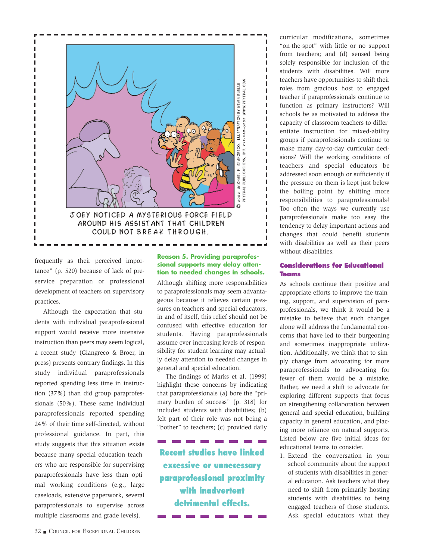

frequently as their perceived importance" (p. 520) because of lack of preservice preparation or professional development of teachers on supervisory practices.

Although the expectation that students with individual paraprofessional support would receive more intensive instruction than peers may seem logical, a recent study (Giangreco & Broer, in press) presents contrary findings. In this study individual paraprofessionals reported spending less time in instruction (37%) than did group paraprofessionals (50%). These same individual paraprofessionals reported spending 24% of their time self-directed, without professional guidance. In part, this study suggests that this situation exists because many special education teachers who are responsible for supervising paraprofessionals have less than optimal working conditions (e.g., large caseloads, extensive paperwork, several paraprofessionals to supervise across multiple classrooms and grade levels).

# **Reason 5. Providing paraprofessional supports may delay attention to needed changes in schools.**

Although shifting more responsibilities to paraprofessionals may seem advantageous because it relieves certain pressures on teachers and special educators, in and of itself, this relief should not be confused with effective education for students. Having paraprofessionals assume ever-increasing levels of responsibility for student learning may actually delay attention to needed changes in general and special education.

The findings of Marks et al. (1999) highlight these concerns by indicating that paraprofessionals (a) bore the "primary burden of success" (p. 318) for included students with disabilities; (b) felt part of their role was not being a "bother" to teachers; (c) provided daily

**Recent studies have linked excessive or unnecessary paraprofessional proximity with inadvertent detrimental effects.**

curricular modifications, sometimes "on-the-spot" with little or no support from teachers; and (d) sensed being solely responsible for inclusion of the students with disabilities. Will more teachers have opportunities to shift their roles from gracious host to engaged teacher if paraprofessionals continue to function as primary instructors? Will schools be as motivated to address the capacity of classroom teachers to differentiate instruction for mixed-ability groups if paraprofessionals continue to make many day-to-day curricular decisions? Will the working conditions of teachers and special educators be addressed soon enough or sufficiently if the pressure on them is kept just below the boiling point by shifting more responsibilities to paraprofessionals? Too often the ways we currently use paraprofessionals make too easy the tendency to delay important actions and changes that could benefit students with disabilities as well as their peers without disabilities.

# **Considerations for Educational Teams**

As schools continue their positive and appropriate efforts to improve the training, support, and supervision of paraprofessionals, we think it would be a mistake to believe that such changes alone will address the fundamental concerns that have led to their burgeoning and sometimes inappropriate utilization. Additionally, we think that to simply change from advocating for more paraprofessionals to advocating for fewer of them would be a mistake. Rather, we need a shift to advocate for exploring different supports that focus on strengthening collaboration between general and special education, building capacity in general education, and placing more reliance on natural supports. Listed below are five initial ideas for educational teams to consider.

1. Extend the conversation in your school community about the support of students with disabilities in general education. Ask teachers what they need to shift from primarily hosting students with disabilities to being engaged teachers of those students. Ask special educators what they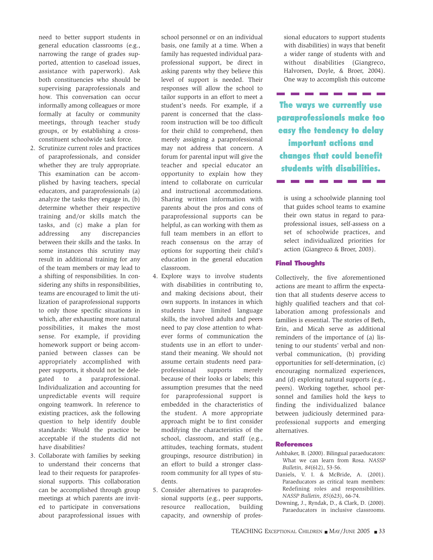need to better support students in general education classrooms (e.g., narrowing the range of grades supported, attention to caseload issues, assistance with paperwork). Ask both constituencies who should be supervising paraprofessionals and how. This conversation can occur informally among colleagues or more formally at faculty or community meetings, through teacher study groups, or by establishing a crossconstituent schoolwide task force.

- 2. Scrutinize current roles and practices of paraprofessionals, and consider whether they are truly appropriate. This examination can be accomplished by having teachers, special educators, and paraprofessionals (a) analyze the tasks they engage in, (b) determine whether their respective training and/or skills match the tasks, and (c) make a plan for addressing any discrepancies between their skills and the tasks. In some instances this scrutiny may result in additional training for any of the team members or may lead to a shifting of responsibilities. In considering any shifts in responsibilities, teams are encouraged to limit the utilization of paraprofessional supports to only those specific situations in which, after exhausting more natural possibilities, it makes the most sense. For example, if providing homework support or being accompanied between classes can be appropriately accomplished with peer supports, it should not be delegated to a paraprofessional. Individualization and accounting for unpredictable events will require ongoing teamwork. In reference to existing practices, ask the following question to help identify double standards: Would the practice be acceptable if the students did not have disabilities?
- 3. Collaborate with families by seeking to understand their concerns that lead to their requests for paraprofessional supports. This collaboration can be accomplished through group meetings at which parents are invited to participate in conversations about paraprofessional issues with

school personnel or on an individual basis, one family at a time. When a family has requested individual paraprofessional support, be direct in asking parents why they believe this level of support is needed. Their responses will allow the school to tailor supports in an effort to meet a student's needs. For example, if a parent is concerned that the classroom instruction will be too difficult for their child to comprehend, then merely assigning a paraprofessional may not address that concern. A forum for parental input will give the teacher and special educator an opportunity to explain how they intend to collaborate on curricular and instructional accommodations. Sharing written information with parents about the pros and cons of paraprofessional supports can be helpful, as can working with them as full team members in an effort to reach consensus on the array of options for supporting their child's education in the general education classroom.

- 4. Explore ways to involve students with disabilities in contributing to, and making decisions about, their own supports. In instances in which students have limited language skills, the involved adults and peers need to pay close attention to whatever forms of communication the students use in an effort to understand their meaning. We should not assume certain students need paraprofessional supports merely because of their looks or labels; this assumption presumes that the need for paraprofessional support is embedded in the characteristics of the student. A more appropriate approach might be to first consider modifying the characteristics of the school, classroom, and staff (e.g., attitudes, teaching formats, student groupings, resource distribution) in an effort to build a stronger classroom community for all types of students.
- 5. Consider alternatives to paraprofessional supports (e.g., peer supports, resource reallocation, building capacity, and ownership of profes-

sional educators to support students with disabilities) in ways that benefit a wider range of students with and without disabilities (Giangreco, Halvorsen, Doyle, & Broer, 2004). One way to accomplish this outcome

**The ways we currently use paraprofessionals make too easy the tendency to delay important actions and changes that could benefit students with disabilities.**

is using a schoolwide planning tool that guides school teams to examine their own status in regard to paraprofessional issues, self-assess on a set of schoolwide practices, and select individualized priorities for action (Giangreco & Broer, 2003).

#### **Final Thoughts**

Collectively, the five aforementioned actions are meant to affirm the expectation that all students deserve access to highly qualified teachers and that collaboration among professionals and families is essential. The stories of Beth, Erin, and Micah serve as additional reminders of the importance of (a) listening to our students' verbal and nonverbal communication, (b) providing opportunities for self-determination, (c) encouraging normalized experiences, and (d) exploring natural supports (e.g., peers). Working together, school personnel and families hold the keys to finding the individualized balance between judiciously determined paraprofessional supports and emerging alternatives.

#### **References**

- Ashbaker, B. (2000). Bilingual paraeducators: What we can learn from Rosa. *NASSP Bulletin, 84*(612), 53-56.
- Daniels, V. I. & McBride, A. (2001). Paraeducators as critical team members: Redefining roles and responsibilities. *NASSP Bulletin, 85*(623), 66-74.
- Downing, J., Ryndak, D., & Clark, D. (2000). Paraeducators in inclusive classrooms.